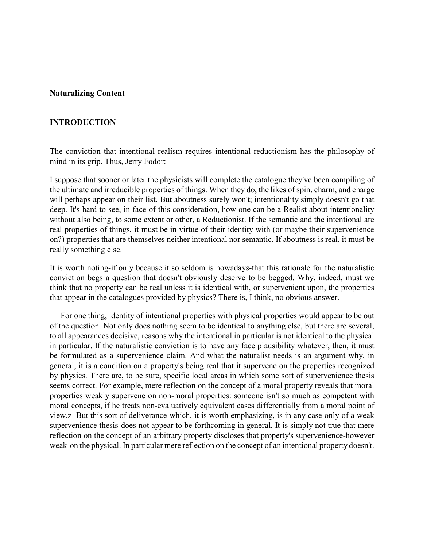#### Naturalizing Content

#### INTRODUCTION

The conviction that intentional realism requires intentional reductionism has the philosophy of mind in its grip. Thus, Jerry Fodor:

I suppose that sooner or later the physicists will complete the catalogue they've been compiling of the ultimate and irreducible properties of things. When they do, the likes of spin, charm, and charge will perhaps appear on their list. But aboutness surely won't; intentionality simply doesn't go that deep. It's hard to see, in face of this consideration, how one can be a Realist about intentionality without also being, to some extent or other, a Reductionist. If the semantic and the intentional are real properties of things, it must be in virtue of their identity with (or maybe their supervenience on?) properties that are themselves neither intentional nor semantic. If aboutness is real, it must be really something else.

It is worth noting-if only because it so seldom is nowadays-that this rationale for the naturalistic conviction begs a question that doesn't obviously deserve to be begged. Why, indeed, must we think that no property can be real unless it is identical with, or supervenient upon, the properties that appear in the catalogues provided by physics? There is, I think, no obvious answer.

For one thing, identity of intentional properties with physical properties would appear to be out of the question. Not only does nothing seem to be identical to anything else, but there are several, to all appearances decisive, reasons why the intentional in particular is not identical to the physical in particular. If the naturalistic conviction is to have any face plausibility whatever, then, it must be formulated as a supervenience claim. And what the naturalist needs is an argument why, in general, it is a condition on a property's being real that it supervene on the properties recognized by physics. There are, to be sure, specific local areas in which some sort of supervenience thesis seems correct. For example, mere reflection on the concept of a moral property reveals that moral properties weakly supervene on non-moral properties: someone isn't so much as competent with moral concepts, if he treats non-evaluatively equivalent cases differentially from a moral point of view.z But this sort of deliverance-which, it is worth emphasizing, is in any case only of a weak supervenience thesis-does not appear to be forthcoming in general. It is simply not true that mere reflection on the concept of an arbitrary property discloses that property's supervenience-however weak-on the physical. In particular mere reflection on the concept of an intentional property doesn't.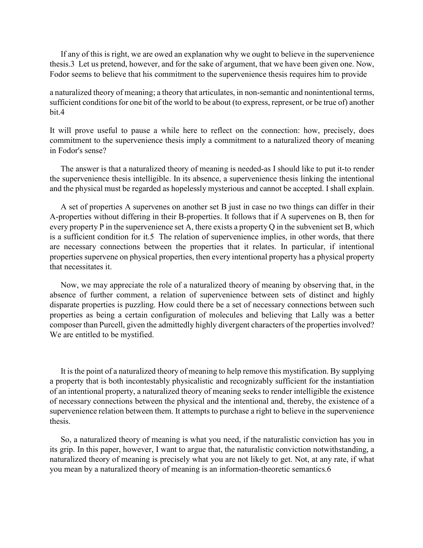If any of this is right, we are owed an explanation why we ought to believe in the supervenience thesis.3 Let us pretend, however, and for the sake of argument, that we have been given one. Now, Fodor seems to believe that his commitment to the supervenience thesis requires him to provide

a naturalized theory of meaning; a theory that articulates, in non-semantic and nonintentional terms, sufficient conditions for one bit of the world to be about (to express, represent, or be true of) another bit.4

It will prove useful to pause a while here to reflect on the connection: how, precisely, does commitment to the supervenience thesis imply a commitment to a naturalized theory of meaning in Fodor's sense?

The answer is that a naturalized theory of meaning is needed-as I should like to put it-to render the supervenience thesis intelligible. In its absence, a supervenience thesis linking the intentional and the physical must be regarded as hopelessly mysterious and cannot be accepted. I shall explain.

A set of properties A supervenes on another set B just in case no two things can differ in their A-properties without differing in their B-properties. It follows that if A supervenes on B, then for every property P in the supervenience set A, there exists a property Q in the subvenient set B, which is a sufficient condition for it.5 The relation of supervenience implies, in other words, that there are necessary connections between the properties that it relates. In particular, if intentional properties supervene on physical properties, then every intentional property has a physical property that necessitates it.

Now, we may appreciate the role of a naturalized theory of meaning by observing that, in the absence of further comment, a relation of supervenience between sets of distinct and highly disparate properties is puzzling. How could there be a set of necessary connections between such properties as being a certain configuration of molecules and believing that Lally was a better composer than Purcell, given the admittedly highly divergent characters of the properties involved? We are entitled to be mystified.

It is the point of a naturalized theory of meaning to help remove this mystification. By supplying a property that is both incontestably physicalistic and recognizably sufficient for the instantiation of an intentional property, a naturalized theory of meaning seeks to render intelligible the existence of necessary connections between the physical and the intentional and, thereby, the existence of a supervenience relation between them. It attempts to purchase a right to believe in the supervenience thesis.

So, a naturalized theory of meaning is what you need, if the naturalistic conviction has you in its grip. In this paper, however, I want to argue that, the naturalistic conviction notwithstanding, a naturalized theory of meaning is precisely what you are not likely to get. Not, at any rate, if what you mean by a naturalized theory of meaning is an information-theoretic semantics.6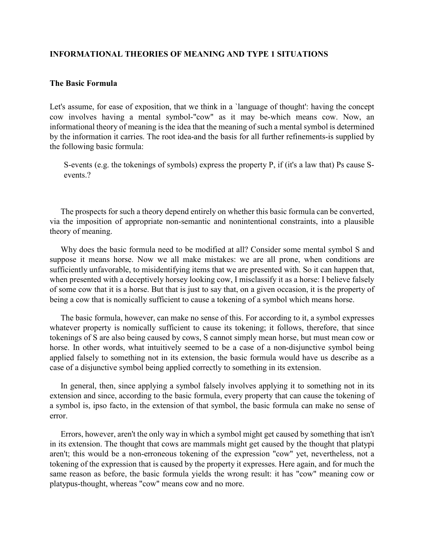### INFORMATIONAL THEORIES OF MEANING AND TYPE 1 SITUATIONS

#### The Basic Formula

Let's assume, for ease of exposition, that we think in a `language of thought': having the concept cow involves having a mental symbol-"cow" as it may be-which means cow. Now, an informational theory of meaning is the idea that the meaning of such a mental symbol is determined by the information it carries. The root idea-and the basis for all further refinements-is supplied by the following basic formula:

S-events (e.g. the tokenings of symbols) express the property P, if (it's a law that) Ps cause Sevents.?

The prospects for such a theory depend entirely on whether this basic formula can be converted, via the imposition of appropriate non-semantic and nonintentional constraints, into a plausible theory of meaning.

Why does the basic formula need to be modified at all? Consider some mental symbol S and suppose it means horse. Now we all make mistakes: we are all prone, when conditions are sufficiently unfavorable, to misidentifying items that we are presented with. So it can happen that, when presented with a deceptively horsey looking cow, I misclassify it as a horse: I believe falsely of some cow that it is a horse. But that is just to say that, on a given occasion, it is the property of being a cow that is nomically sufficient to cause a tokening of a symbol which means horse.

The basic formula, however, can make no sense of this. For according to it, a symbol expresses whatever property is nomically sufficient to cause its tokening; it follows, therefore, that since tokenings of S are also being caused by cows, S cannot simply mean horse, but must mean cow or horse. In other words, what intuitively seemed to be a case of a non-disjunctive symbol being applied falsely to something not in its extension, the basic formula would have us describe as a case of a disjunctive symbol being applied correctly to something in its extension.

In general, then, since applying a symbol falsely involves applying it to something not in its extension and since, according to the basic formula, every property that can cause the tokening of a symbol is, ipso facto, in the extension of that symbol, the basic formula can make no sense of error.

Errors, however, aren't the only way in which a symbol might get caused by something that isn't in its extension. The thought that cows are mammals might get caused by the thought that platypi aren't; this would be a non-erroneous tokening of the expression "cow" yet, nevertheless, not a tokening of the expression that is caused by the property it expresses. Here again, and for much the same reason as before, the basic formula yields the wrong result: it has "cow" meaning cow or platypus-thought, whereas "cow" means cow and no more.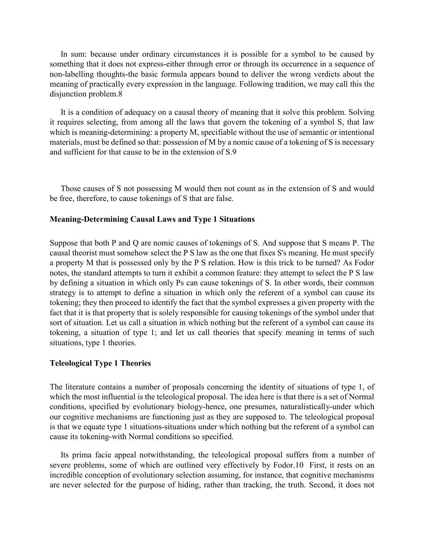In sum: because under ordinary circumstances it is possible for a symbol to be caused by something that it does not express-either through error or through its occurrence in a sequence of non-labelling thoughts-the basic formula appears bound to deliver the wrong verdicts about the meaning of practically every expression in the language. Following tradition, we may call this the disjunction problem.8

It is a condition of adequacy on a causal theory of meaning that it solve this problem. Solving it requires selecting, from among all the laws that govern the tokening of a symbol S, that law which is meaning-determining: a property M, specifiable without the use of semantic or intentional materials, must be defined so that: possession of M by a nomic cause of a tokening of S is necessary and sufficient for that cause to be in the extension of S.9

Those causes of S not possessing M would then not count as in the extension of S and would be free, therefore, to cause tokenings of S that are false.

### Meaning-Determining Causal Laws and Type 1 Situations

Suppose that both P and Q are nomic causes of tokenings of S. And suppose that S means P. The causal theorist must somehow select the P S law as the one that fixes S's meaning. He must specify a property M that is possessed only by the P S relation. How is this trick to be turned? As Fodor notes, the standard attempts to turn it exhibit a common feature: they attempt to select the P S law by defining a situation in which only Ps can cause tokenings of S. In other words, their common strategy is to attempt to define a situation in which only the referent of a symbol can cause its tokening; they then proceed to identify the fact that the symbol expresses a given property with the fact that it is that property that is solely responsible for causing tokenings of the symbol under that sort of situation. Let us call a situation in which nothing but the referent of a symbol can cause its tokening, a situation of type 1; and let us call theories that specify meaning in terms of such situations, type 1 theories.

# Teleological Type 1 Theories

The literature contains a number of proposals concerning the identity of situations of type 1, of which the most influential is the teleological proposal. The idea here is that there is a set of Normal conditions, specified by evolutionary biology-hence, one presumes, naturalistically-under which our cognitive mechanisms are functioning just as they are supposed to. The teleological proposal is that we equate type 1 situations-situations under which nothing but the referent of a symbol can cause its tokening-with Normal conditions so specified.

Its prima facie appeal notwithstanding, the teleological proposal suffers from a number of severe problems, some of which are outlined very effectively by Fodor.10 First, it rests on an incredible conception of evolutionary selection assuming, for instance, that cognitive mechanisms are never selected for the purpose of hiding, rather than tracking, the truth. Second, it does not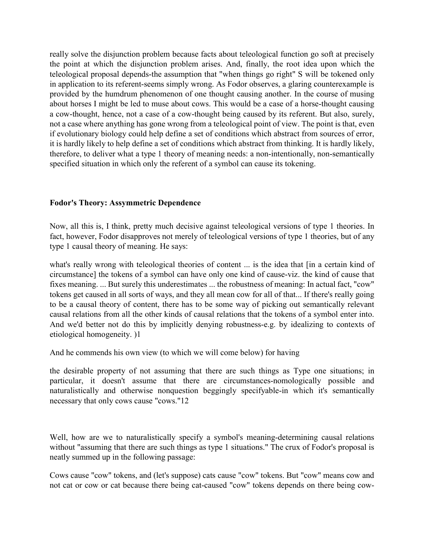really solve the disjunction problem because facts about teleological function go soft at precisely the point at which the disjunction problem arises. And, finally, the root idea upon which the teleological proposal depends-the assumption that "when things go right" S will be tokened only in application to its referent-seems simply wrong. As Fodor observes, a glaring counterexample is provided by the humdrum phenomenon of one thought causing another. In the course of musing about horses I might be led to muse about cows. This would be a case of a horse-thought causing a cow-thought, hence, not a case of a cow-thought being caused by its referent. But also, surely, not a case where anything has gone wrong from a teleological point of view. The point is that, even if evolutionary biology could help define a set of conditions which abstract from sources of error, it is hardly likely to help define a set of conditions which abstract from thinking. It is hardly likely, therefore, to deliver what a type 1 theory of meaning needs: a non-intentionally, non-semantically specified situation in which only the referent of a symbol can cause its tokening.

# Fodor's Theory: Assymmetric Dependence

Now, all this is, I think, pretty much decisive against teleological versions of type 1 theories. In fact, however, Fodor disapproves not merely of teleological versions of type 1 theories, but of any type 1 causal theory of meaning. He says:

what's really wrong with teleological theories of content ... is the idea that [in a certain kind of circumstance] the tokens of a symbol can have only one kind of cause-viz. the kind of cause that fixes meaning. ... But surely this underestimates ... the robustness of meaning: In actual fact, "cow" tokens get caused in all sorts of ways, and they all mean cow for all of that... If there's really going to be a causal theory of content, there has to be some way of picking out semantically relevant causal relations from all the other kinds of causal relations that the tokens of a symbol enter into. And we'd better not do this by implicitly denying robustness-e.g. by idealizing to contexts of etiological homogeneity. )1

And he commends his own view (to which we will come below) for having

the desirable property of not assuming that there are such things as Type one situations; in particular, it doesn't assume that there are circumstances-nomologically possible and naturalistically and otherwise nonquestion beggingly specifyable-in which it's semantically necessary that only cows cause "cows."12

Well, how are we to naturalistically specify a symbol's meaning-determining causal relations without "assuming that there are such things as type 1 situations." The crux of Fodor's proposal is neatly summed up in the following passage:

Cows cause "cow" tokens, and (let's suppose) cats cause "cow" tokens. But "cow" means cow and not cat or cow or cat because there being cat-caused "cow" tokens depends on there being cow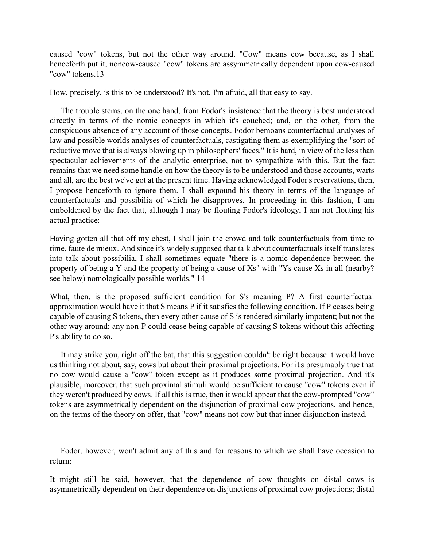caused "cow" tokens, but not the other way around. "Cow" means cow because, as I shall henceforth put it, noncow-caused "cow" tokens are assymmetrically dependent upon cow-caused "cow" tokens.13

How, precisely, is this to be understood? It's not, I'm afraid, all that easy to say.

The trouble stems, on the one hand, from Fodor's insistence that the theory is best understood directly in terms of the nomic concepts in which it's couched; and, on the other, from the conspicuous absence of any account of those concepts. Fodor bemoans counterfactual analyses of law and possible worlds analyses of counterfactuals, castigating them as exemplifying the "sort of reductive move that is always blowing up in philosophers' faces." It is hard, in view of the less than spectacular achievements of the analytic enterprise, not to sympathize with this. But the fact remains that we need some handle on how the theory is to be understood and those accounts, warts and all, are the best we've got at the present time. Having acknowledged Fodor's reservations, then, I propose henceforth to ignore them. I shall expound his theory in terms of the language of counterfactuals and possibilia of which he disapproves. In proceeding in this fashion, I am emboldened by the fact that, although I may be flouting Fodor's ideology, I am not flouting his actual practice:

Having gotten all that off my chest, I shall join the crowd and talk counterfactuals from time to time, faute de mieux. And since it's widely supposed that talk about counterfactuals itself translates into talk about possibilia, I shall sometimes equate "there is a nomic dependence between the property of being a Y and the property of being a cause of Xs" with "Ys cause Xs in all (nearby? see below) nomologically possible worlds." 14

What, then, is the proposed sufficient condition for S's meaning P? A first counterfactual approximation would have it that S means P if it satisfies the following condition. If P ceases being capable of causing S tokens, then every other cause of S is rendered similarly impotent; but not the other way around: any non-P could cease being capable of causing S tokens without this affecting P's ability to do so.

It may strike you, right off the bat, that this suggestion couldn't be right because it would have us thinking not about, say, cows but about their proximal projections. For it's presumably true that no cow would cause a "cow" token except as it produces some proximal projection. And it's plausible, moreover, that such proximal stimuli would be sufficient to cause "cow" tokens even if they weren't produced by cows. If all this is true, then it would appear that the cow-prompted "cow" tokens are asymmetrically dependent on the disjunction of proximal cow projections, and hence, on the terms of the theory on offer, that "cow" means not cow but that inner disjunction instead.

Fodor, however, won't admit any of this and for reasons to which we shall have occasion to return:

It might still be said, however, that the dependence of cow thoughts on distal cows is asymmetrically dependent on their dependence on disjunctions of proximal cow projections; distal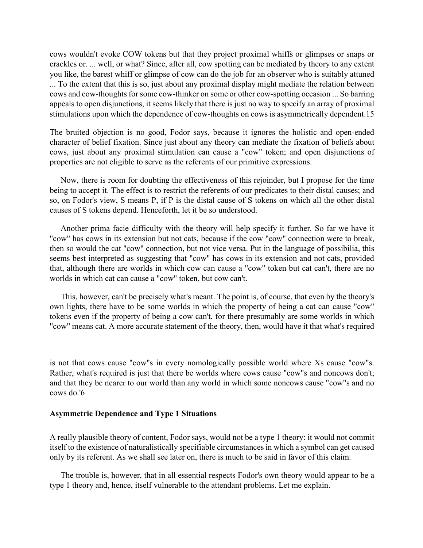cows wouldn't evoke COW tokens but that they project proximal whiffs or glimpses or snaps or crackles or. ... well, or what? Since, after all, cow spotting can be mediated by theory to any extent you like, the barest whiff or glimpse of cow can do the job for an observer who is suitably attuned ... To the extent that this is so, just about any proximal display might mediate the relation between cows and cow-thoughts forsome cow-thinker on some or other cow-spotting occasion ... So barring appeals to open disjunctions, it seems likely that there is just no way to specify an array of proximal stimulations upon which the dependence of cow-thoughts on cows is asymmetrically dependent.15

The bruited objection is no good, Fodor says, because it ignores the holistic and open-ended character of belief fixation. Since just about any theory can mediate the fixation of beliefs about cows, just about any proximal stimulation can cause a "cow" token; and open disjunctions of properties are not eligible to serve as the referents of our primitive expressions.

Now, there is room for doubting the effectiveness of this rejoinder, but I propose for the time being to accept it. The effect is to restrict the referents of our predicates to their distal causes; and so, on Fodor's view, S means P, if P is the distal cause of S tokens on which all the other distal causes of S tokens depend. Henceforth, let it be so understood.

Another prima facie difficulty with the theory will help specify it further. So far we have it "cow" has cows in its extension but not cats, because if the cow "cow" connection were to break, then so would the cat "cow" connection, but not vice versa. Put in the language of possibilia, this seems best interpreted as suggesting that "cow" has cows in its extension and not cats, provided that, although there are worlds in which cow can cause a "cow" token but cat can't, there are no worlds in which cat can cause a "cow" token, but cow can't.

This, however, can't be precisely what's meant. The point is, of course, that even by the theory's own lights, there have to be some worlds in which the property of being a cat can cause "cow" tokens even if the property of being a cow can't, for there presumably are some worlds in which "cow" means cat. A more accurate statement of the theory, then, would have it that what's required

is not that cows cause "cow"s in every nomologically possible world where Xs cause "cow"s. Rather, what's required is just that there be worlds where cows cause "cow"s and noncows don't; and that they be nearer to our world than any world in which some noncows cause "cow"s and no cows do.'6

### Asymmetric Dependence and Type 1 Situations

A really plausible theory of content, Fodor says, would not be a type 1 theory: it would not commit itself to the existence of naturalistically specifiable circumstances in which a symbol can get caused only by its referent. As we shall see later on, there is much to be said in favor of this claim.

The trouble is, however, that in all essential respects Fodor's own theory would appear to be a type 1 theory and, hence, itself vulnerable to the attendant problems. Let me explain.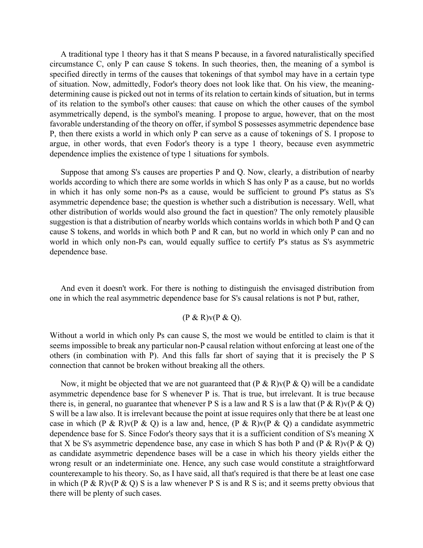A traditional type 1 theory has it that S means P because, in a favored naturalistically specified circumstance C, only P can cause S tokens. In such theories, then, the meaning of a symbol is specified directly in terms of the causes that tokenings of that symbol may have in a certain type of situation. Now, admittedly, Fodor's theory does not look like that. On his view, the meaningdetermining cause is picked out not in terms of its relation to certain kinds of situation, but in terms of its relation to the symbol's other causes: that cause on which the other causes of the symbol asymmetrically depend, is the symbol's meaning. I propose to argue, however, that on the most favorable understanding of the theory on offer, if symbol S possesses asymmetric dependence base P, then there exists a world in which only P can serve as a cause of tokenings of S. I propose to argue, in other words, that even Fodor's theory is a type 1 theory, because even asymmetric dependence implies the existence of type 1 situations for symbols.

Suppose that among S's causes are properties P and Q. Now, clearly, a distribution of nearby worlds according to which there are some worlds in which S has only P as a cause, but no worlds in which it has only some non-Ps as a cause, would be sufficient to ground P's status as S's asymmetric dependence base; the question is whether such a distribution is necessary. Well, what other distribution of worlds would also ground the fact in question? The only remotely plausible suggestion is that a distribution of nearby worlds which contains worlds in which both P and Q can cause S tokens, and worlds in which both P and R can, but no world in which only P can and no world in which only non-Ps can, would equally suffice to certify P's status as S's asymmetric dependence base.

And even it doesn't work. For there is nothing to distinguish the envisaged distribution from one in which the real asymmetric dependence base for S's causal relations is not P but, rather,

#### $(P & R)v(P & Q).$

Without a world in which only Ps can cause S, the most we would be entitled to claim is that it seems impossible to break any particular non-P causal relation without enforcing at least one of the others (in combination with P). And this falls far short of saying that it is precisely the P S connection that cannot be broken without breaking all the others.

Now, it might be objected that we are not guaranteed that  $(P & R)$ v $(P & Q)$  will be a candidate asymmetric dependence base for S whenever P is. That is true, but irrelevant. It is true because there is, in general, no guarantee that whenever P S is a law and R S is a law that  $(P & R)$ v( $P & Q$ ) S will be a law also. It is irrelevant because the point at issue requires only that there be at least one case in which (P & R)v(P & Q) is a law and, hence, (P & R)v(P & Q) a candidate asymmetric dependence base for S. Since Fodor's theory says that it is a sufficient condition of S's meaning X that X be S's asymmetric dependence base, any case in which S has both P and  $(P & R)$ v $(P & Q)$ as candidate asymmetric dependence bases will be a case in which his theory yields either the wrong result or an indeterminiate one. Hence, any such case would constitute a straightforward counterexample to his theory. So, as I have said, all that's required is that there be at least one case in which (P & R)v(P & Q) S is a law whenever P S is and R S is; and it seems pretty obvious that there will be plenty of such cases.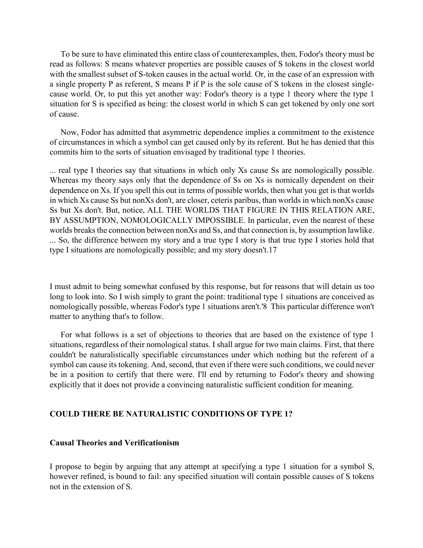To be sure to have eliminated this entire class of counterexamples, then, Fodor's theory must be read as follows: S means whatever properties are possible causes of S tokens in the closest world with the smallest subset of S-token causes in the actual world. Or, in the case of an expression with a single property P as referent, S means P if P is the sole cause of S tokens in the closest singlecause world. Or, to put this yet another way: Fodor's theory is a type 1 theory where the type 1 situation for S is specified as being: the closest world in which S can get tokened by only one sort of cause.

Now, Fodor has admitted that asymmetric dependence implies a commitment to the existence of circumstances in which a symbol can get caused only by its referent. But he has denied that this commits him to the sorts of situation envisaged by traditional type 1 theories.

... real type I theories say that situations in which only Xs cause Ss are nomologically possible. Whereas my theory says only that the dependence of Ss on Xs is nomically dependent on their dependence on Xs. If you spell this out in terms of possible worlds, then what you get is that worlds in which Xs cause Ss but nonXs don't, are closer, ceteris paribus, than worlds in which nonXs cause Ss but Xs don't. But, notice, ALL THE WORLDS THAT FIGURE IN THIS RELATION ARE, BY ASSUMPTION, NOMOLOGICALLY IMPOSSIBLE. In particular, even the nearest of these worlds breaks the connection between non $Xs$  and  $Ss$ , and that connection is, by assumption lawlike. ... So, the difference between my story and a true type I story is that true type I stories hold that type I situations are nomologically possible; and my story doesn't.17

I must admit to being somewhat confused by this response, but for reasons that will detain us too long to look into. So I wish simply to grant the point: traditional type 1 situations are conceived as nomologically possible, whereas Fodor's type 1 situations aren't.'8 This particular difference won't matter to anything that's to follow.

For what follows is a set of objections to theories that are based on the existence of type 1 situations, regardless of their nomological status. I shall argue for two main claims. First, that there couldn't be naturalistically specifiable circumstances under which nothing but the referent of a symbol can cause its tokening. And, second, that even if there were such conditions, we could never be in a position to certify that there were. I'll end by returning to Fodor's theory and showing explicitly that it does not provide a convincing naturalistic sufficient condition for meaning.

### COULD THERE BE NATURALISTIC CONDITIONS OF TYPE 1?

### Causal Theories and Verificationism

I propose to begin by arguing that any attempt at specifying a type 1 situation for a symbol S, however refined, is bound to fail: any specified situation will contain possible causes of S tokens not in the extension of S.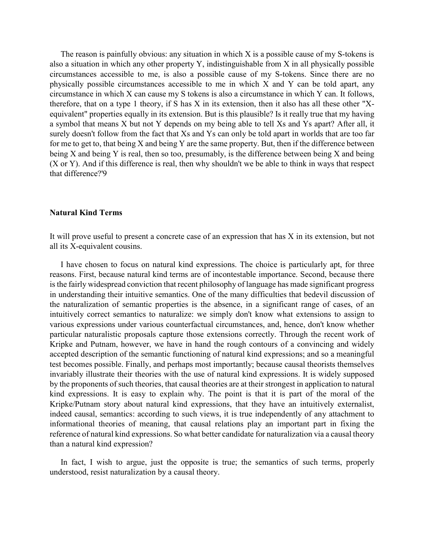The reason is painfully obvious: any situation in which  $X$  is a possible cause of my S-tokens is also a situation in which any other property Y, indistinguishable from X in all physically possible circumstances accessible to me, is also a possible cause of my S-tokens. Since there are no physically possible circumstances accessible to me in which X and Y can be told apart, any circumstance in which X can cause my S tokens is also a circumstance in which Y can. It follows, therefore, that on a type 1 theory, if S has X in its extension, then it also has all these other "Xequivalent" properties equally in its extension. But is this plausible? Is it really true that my having a symbol that means X but not Y depends on my being able to tell Xs and Ys apart? After all, it surely doesn't follow from the fact that Xs and Ys can only be told apart in worlds that are too far for me to get to, that being X and being Y are the same property. But, then if the difference between being X and being Y is real, then so too, presumably, is the difference between being X and being (X or Y). And if this difference is real, then why shouldn't we be able to think in ways that respect that difference?'9

#### Natural Kind Terms

It will prove useful to present a concrete case of an expression that has X in its extension, but not all its X-equivalent cousins.

I have chosen to focus on natural kind expressions. The choice is particularly apt, for three reasons. First, because natural kind terms are of incontestable importance. Second, because there isthe fairly widespread conviction that recent philosophy of language has made significant progress in understanding their intuitive semantics. One of the many difficulties that bedevil discussion of the naturalization of semantic properties is the absence, in a significant range of cases, of an intuitively correct semantics to naturalize: we simply don't know what extensions to assign to various expressions under various counterfactual circumstances, and, hence, don't know whether particular naturalistic proposals capture those extensions correctly. Through the recent work of Kripke and Putnam, however, we have in hand the rough contours of a convincing and widely accepted description of the semantic functioning of natural kind expressions; and so a meaningful test becomes possible. Finally, and perhaps most importantly; because causal theorists themselves invariably illustrate their theories with the use of natural kind expressions. It is widely supposed by the proponents of such theories, that causal theories are at their strongest in application to natural kind expressions. It is easy to explain why. The point is that it is part of the moral of the Kripke/Putnam story about natural kind expressions, that they have an intuitively externalist, indeed causal, semantics: according to such views, it is true independently of any attachment to informational theories of meaning, that causal relations play an important part in fixing the reference of natural kind expressions. So what better candidate for naturalization via a causal theory than a natural kind expression?

In fact, I wish to argue, just the opposite is true; the semantics of such terms, properly understood, resist naturalization by a causal theory.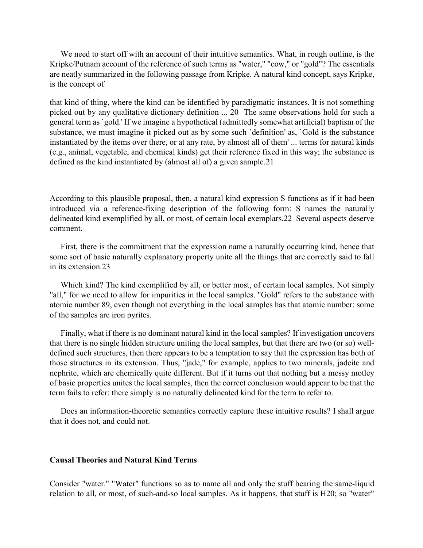We need to start off with an account of their intuitive semantics. What, in rough outline, is the Kripke/Putnam account of the reference of such terms as "water," "cow," or "gold"? The essentials are neatly summarized in the following passage from Kripke. A natural kind concept, says Kripke, is the concept of

that kind of thing, where the kind can be identified by paradigmatic instances. It is not something picked out by any qualitative dictionary definition ... 20 The same observations hold for such a general term as `gold.' If we imagine a hypothetical (admittedly somewhat artificial) baptism of the substance, we must imagine it picked out as by some such `definition' as, `Gold is the substance instantiated by the items over there, or at any rate, by almost all of them' ... terms for natural kinds (e.g., animal, vegetable, and chemical kinds) get their reference fixed in this way; the substance is defined as the kind instantiated by (almost all of) a given sample.21

According to this plausible proposal, then, a natural kind expression S functions as if it had been introduced via a reference-fixing description of the following form: S names the naturally delineated kind exemplified by all, or most, of certain local exemplars.22 Several aspects deserve comment.

First, there is the commitment that the expression name a naturally occurring kind, hence that some sort of basic naturally explanatory property unite all the things that are correctly said to fall in its extension.23

Which kind? The kind exemplified by all, or better most, of certain local samples. Not simply "all," for we need to allow for impurities in the local samples. "Gold" refers to the substance with atomic number 89, even though not everything in the local samples has that atomic number: some of the samples are iron pyrites.

Finally, what if there is no dominant natural kind in the local samples? If investigation uncovers that there is no single hidden structure uniting the local samples, but that there are two (or so) welldefined such structures, then there appears to be a temptation to say that the expression has both of those structures in its extension. Thus, "jade," for example, applies to two minerals, jadeite and nephrite, which are chemically quite different. But if it turns out that nothing but a messy motley of basic properties unites the local samples, then the correct conclusion would appear to be that the term fails to refer: there simply is no naturally delineated kind for the term to refer to.

Does an information-theoretic semantics correctly capture these intuitive results? I shall argue that it does not, and could not.

### Causal Theories and Natural Kind Terms

Consider "water." "Water" functions so as to name all and only the stuff bearing the same-liquid relation to all, or most, of such-and-so local samples. As it happens, that stuff is H20; so "water"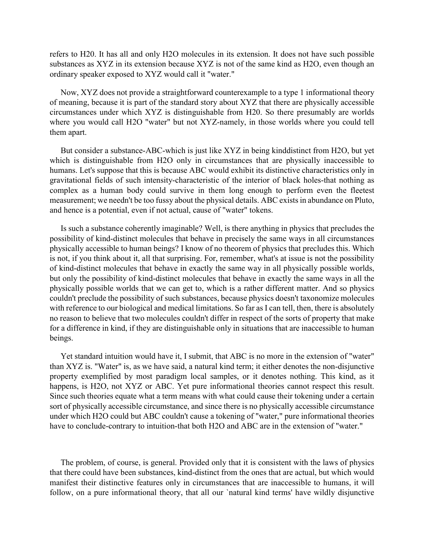refers to H20. It has all and only H2O molecules in its extension. It does not have such possible substances as XYZ in its extension because XYZ is not of the same kind as H2O, even though an ordinary speaker exposed to XYZ would call it "water."

Now, XYZ does not provide a straightforward counterexample to a type 1 informational theory of meaning, because it is part of the standard story about XYZ that there are physically accessible circumstances under which XYZ is distinguishable from H20. So there presumably are worlds where you would call H2O "water" but not XYZ-namely, in those worlds where you could tell them apart.

But consider a substance-ABC-which is just like XYZ in being kinddistinct from H2O, but yet which is distinguishable from H2O only in circumstances that are physically inaccessible to humans. Let's suppose that this is because ABC would exhibit its distinctive characteristics only in gravitational fields of such intensity-characteristic of the interior of black holes-that nothing as complex as a human body could survive in them long enough to perform even the fleetest measurement; we needn't be too fussy about the physical details. ABC existsin abundance on Pluto, and hence is a potential, even if not actual, cause of "water" tokens.

Is such a substance coherently imaginable? Well, is there anything in physics that precludes the possibility of kind-distinct molecules that behave in precisely the same ways in all circumstances physically accessible to human beings? I know of no theorem of physics that precludes this. Which is not, if you think about it, all that surprising. For, remember, what's at issue is not the possibility of kind-distinct molecules that behave in exactly the same way in all physically possible worlds, but only the possibility of kind-distinct molecules that behave in exactly the same ways in all the physically possible worlds that we can get to, which is a rather different matter. And so physics couldn't preclude the possibility of such substances, because physics doesn't taxonomize molecules with reference to our biological and medical limitations. So far as I can tell, then, there is absolutely no reason to believe that two molecules couldn't differ in respect of the sorts of property that make for a difference in kind, if they are distinguishable only in situations that are inaccessible to human beings.

Yet standard intuition would have it, I submit, that ABC is no more in the extension of "water" than XYZ is. "Water" is, as we have said, a natural kind term; it either denotes the non-disjunctive property exemplified by most paradigm local samples, or it denotes nothing. This kind, as it happens, is H2O, not XYZ or ABC. Yet pure informational theories cannot respect this result. Since such theories equate what a term means with what could cause their tokening under a certain sort of physically accessible circumstance, and since there is no physically accessible circumstance under which H2O could but ABC couldn't cause a tokening of "water," pure informational theories have to conclude-contrary to intuition-that both H2O and ABC are in the extension of "water."

The problem, of course, is general. Provided only that it is consistent with the laws of physics that there could have been substances, kind-distinct from the ones that are actual, but which would manifest their distinctive features only in circumstances that are inaccessible to humans, it will follow, on a pure informational theory, that all our `natural kind terms' have wildly disjunctive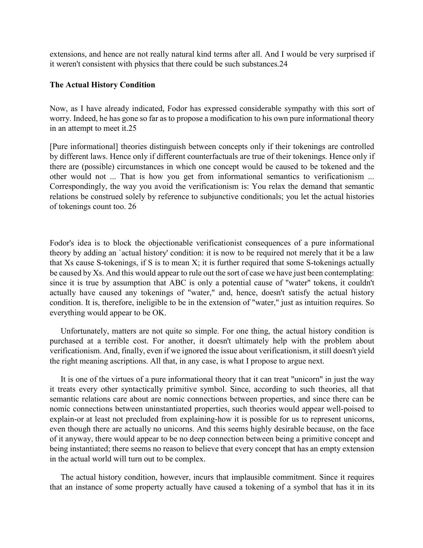extensions, and hence are not really natural kind terms after all. And I would be very surprised if it weren't consistent with physics that there could be such substances.24

## The Actual History Condition

Now, as I have already indicated, Fodor has expressed considerable sympathy with this sort of worry. Indeed, he has gone so far as to propose a modification to his own pure informational theory in an attempt to meet it.25

[Pure informational] theories distinguish between concepts only if their tokenings are controlled by different laws. Hence only if different counterfactuals are true of their tokenings. Hence only if there are (possible) circumstances in which one concept would be caused to be tokened and the other would not ... That is how you get from informational semantics to verificationism ... Correspondingly, the way you avoid the verificationism is: You relax the demand that semantic relations be construed solely by reference to subjunctive conditionals; you let the actual histories of tokenings count too. 26

Fodor's idea is to block the objectionable verificationist consequences of a pure informational theory by adding an `actual history' condition: it is now to be required not merely that it be a law that Xs cause S-tokenings, if S is to mean X; it is further required that some S-tokenings actually be caused by Xs. And this would appear to rule out the sort of case we have just been contemplating: since it is true by assumption that ABC is only a potential cause of "water" tokens, it couldn't actually have caused any tokenings of "water," and, hence, doesn't satisfy the actual history condition. It is, therefore, ineligible to be in the extension of "water," just as intuition requires. So everything would appear to be OK.

Unfortunately, matters are not quite so simple. For one thing, the actual history condition is purchased at a terrible cost. For another, it doesn't ultimately help with the problem about verificationism. And, finally, even if we ignored the issue about verificationism, it still doesn't yield the right meaning ascriptions. All that, in any case, is what I propose to argue next.

It is one of the virtues of a pure informational theory that it can treat "unicorn" in just the way it treats every other syntactically primitive symbol. Since, according to such theories, all that semantic relations care about are nomic connections between properties, and since there can be nomic connections between uninstantiated properties, such theories would appear well-poised to explain-or at least not precluded from explaining-how it is possible for us to represent unicorns, even though there are actually no unicorns. And this seems highly desirable because, on the face of it anyway, there would appear to be no deep connection between being a primitive concept and being instantiated; there seems no reason to believe that every concept that has an empty extension in the actual world will turn out to be complex.

The actual history condition, however, incurs that implausible commitment. Since it requires that an instance of some property actually have caused a tokening of a symbol that has it in its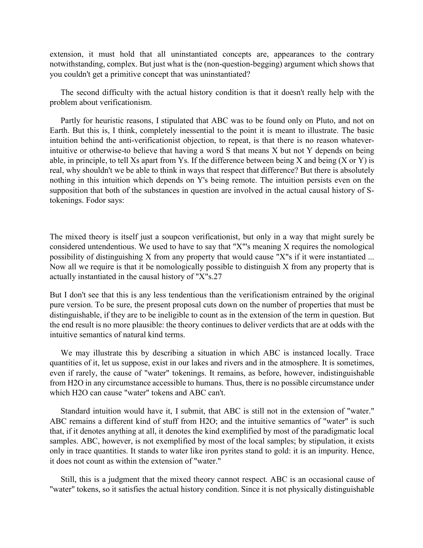extension, it must hold that all uninstantiated concepts are, appearances to the contrary notwithstanding, complex. But just what is the (non-question-begging) argument which shows that you couldn't get a primitive concept that was uninstantiated?

The second difficulty with the actual history condition is that it doesn't really help with the problem about verificationism.

Partly for heuristic reasons, I stipulated that ABC was to be found only on Pluto, and not on Earth. But this is, I think, completely inessential to the point it is meant to illustrate. The basic intuition behind the anti-verificationist objection, to repeat, is that there is no reason whateverintuitive or otherwise-to believe that having a word S that means X but not Y depends on being able, in principle, to tell Xs apart from Ys. If the difference between being X and being  $(X \text{ or } Y)$  is real, why shouldn't we be able to think in ways that respect that difference? But there is absolutely nothing in this intuition which depends on Y's being remote. The intuition persists even on the supposition that both of the substances in question are involved in the actual causal history of Stokenings. Fodor says:

The mixed theory is itself just a soupcon verificationist, but only in a way that might surely be considered untendentious. We used to have to say that "X"'s meaning X requires the nomological possibility of distinguishing X from any property that would cause "X"s if it were instantiated ... Now all we require is that it be nomologically possible to distinguish X from any property that is actually instantiated in the causal history of "X"s.27

But I don't see that this is any less tendentious than the verificationism entrained by the original pure version. To be sure, the present proposal cuts down on the number of properties that must be distinguishable, if they are to be ineligible to count as in the extension of the term in question. But the end result is no more plausible: the theory continues to deliver verdicts that are at odds with the intuitive semantics of natural kind terms.

We may illustrate this by describing a situation in which ABC is instanced locally. Trace quantities of it, let us suppose, exist in our lakes and rivers and in the atmosphere. It is sometimes, even if rarely, the cause of "water" tokenings. It remains, as before, however, indistinguishable from H2O in any circumstance accessible to humans. Thus, there is no possible circumstance under which H2O can cause "water" tokens and ABC can't.

Standard intuition would have it, I submit, that ABC is still not in the extension of "water." ABC remains a different kind of stuff from H2O; and the intuitive semantics of "water" is such that, if it denotes anything at all, it denotes the kind exemplified by most of the paradigmatic local samples. ABC, however, is not exemplified by most of the local samples; by stipulation, it exists only in trace quantities. It stands to water like iron pyrites stand to gold: it is an impurity. Hence, it does not count as within the extension of "water."

Still, this is a judgment that the mixed theory cannot respect. ABC is an occasional cause of "water" tokens, so it satisfies the actual history condition. Since it is not physically distinguishable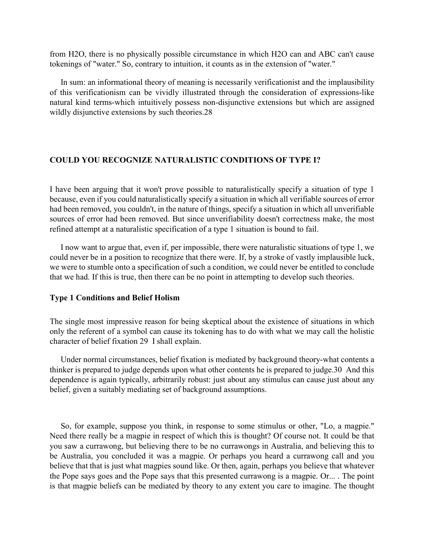from H2O, there is no physically possible circumstance in which H2O can and ABC can't cause tokenings of "water." So, contrary to intuition, it counts as in the extension of "water."

In sum: an informational theory of meaning is necessarily verificationist and the implausibility of this verificationism can be vividly illustrated through the consideration of expressions-like natural kind terms-which intuitively possess non-disjunctive extensions but which are assigned wildly disjunctive extensions by such theories.28

# COULD YOU RECOGNIZE NATURALISTIC CONDITIONS OF TYPE I?

I have been arguing that it won't prove possible to naturalistically specify a situation of type 1 because, even if you could naturalistically specify a situation in which all verifiable sources of error had been removed, you couldn't, in the nature of things, specify a situation in which all unverifiable sources of error had been removed. But since unverifiability doesn't correctness make, the most refined attempt at a naturalistic specification of a type 1 situation is bound to fail.

I now want to argue that, even if, per impossible, there were naturalistic situations of type 1, we could never be in a position to recognize that there were. If, by a stroke of vastly implausible luck, we were to stumble onto a specification of such a condition, we could never be entitled to conclude that we had. If this is true, then there can be no point in attempting to develop such theories.

## Type 1 Conditions and Belief Holism

The single most impressive reason for being skeptical about the existence of situations in which only the referent of a symbol can cause its tokening has to do with what we may call the holistic character of belief fixation 29 I shall explain.

Under normal circumstances, belief fixation is mediated by background theory-what contents a thinker is prepared to judge depends upon what other contents he is prepared to judge.30 And this dependence is again typically, arbitrarily robust: just about any stimulus can cause just about any belief, given a suitably mediating set of background assumptions.

So, for example, suppose you think, in response to some stimulus or other, "Lo, a magpie." Need there really be a magpie in respect of which this is thought? Of course not. It could be that you saw a currawong, but believing there to be no currawongs in Australia, and believing this to be Australia, you concluded it was a magpie. Or perhaps you heard a currawong call and you believe that that is just what magpies sound like. Or then, again, perhaps you believe that whatever the Pope says goes and the Pope says that this presented currawong is a magpie. Or... . The point is that magpie beliefs can be mediated by theory to any extent you care to imagine. The thought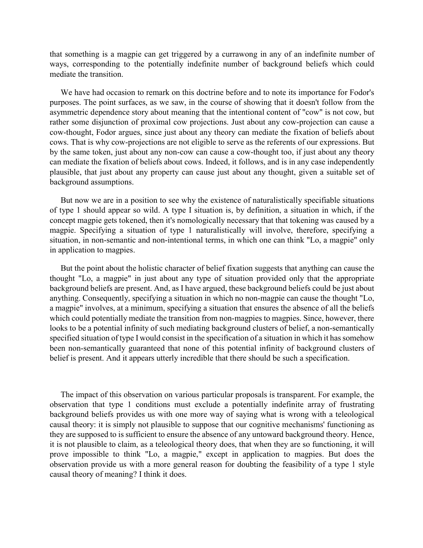that something is a magpie can get triggered by a currawong in any of an indefinite number of ways, corresponding to the potentially indefinite number of background beliefs which could mediate the transition.

We have had occasion to remark on this doctrine before and to note its importance for Fodor's purposes. The point surfaces, as we saw, in the course of showing that it doesn't follow from the asymmetric dependence story about meaning that the intentional content of "cow" is not cow, but rather some disjunction of proximal cow projections. Just about any cow-projection can cause a cow-thought, Fodor argues, since just about any theory can mediate the fixation of beliefs about cows. That is why cow-projections are not eligible to serve as the referents of our expressions. But by the same token, just about any non-cow can cause a cow-thought too, if just about any theory can mediate the fixation of beliefs about cows. Indeed, it follows, and is in any case independently plausible, that just about any property can cause just about any thought, given a suitable set of background assumptions.

But now we are in a position to see why the existence of naturalistically specifiable situations of type 1 should appear so wild. A type I situation is, by definition, a situation in which, if the concept magpie gets tokened, then it's nomologically necessary that that tokening was caused by a magpie. Specifying a situation of type 1 naturalistically will involve, therefore, specifying a situation, in non-semantic and non-intentional terms, in which one can think "Lo, a magpie" only in application to magpies.

But the point about the holistic character of belief fixation suggests that anything can cause the thought "Lo, a magpie" in just about any type of situation provided only that the appropriate background beliefs are present. And, as I have argued, these background beliefs could be just about anything. Consequently, specifying a situation in which no non-magpie can cause the thought "Lo, a magpie" involves, at a minimum, specifying a situation that ensures the absence of all the beliefs which could potentially mediate the transition from non-magpies to magpies. Since, however, there looks to be a potential infinity of such mediating background clusters of belief, a non-semantically specified situation of type I would consist in the specification of a situation in which it has somehow been non-semantically guaranteed that none of this potential infinity of background clusters of belief is present. And it appears utterly incredible that there should be such a specification.

The impact of this observation on various particular proposals is transparent. For example, the observation that type 1 conditions must exclude a potentially indefinite array of frustrating background beliefs provides us with one more way of saying what is wrong with a teleological causal theory: it is simply not plausible to suppose that our cognitive mechanisms' functioning as they are supposed to is sufficient to ensure the absence of any untoward background theory. Hence, it is not plausible to claim, as a teleological theory does, that when they are so functioning, it will prove impossible to think "Lo, a magpie," except in application to magpies. But does the observation provide us with a more general reason for doubting the feasibility of a type 1 style causal theory of meaning? I think it does.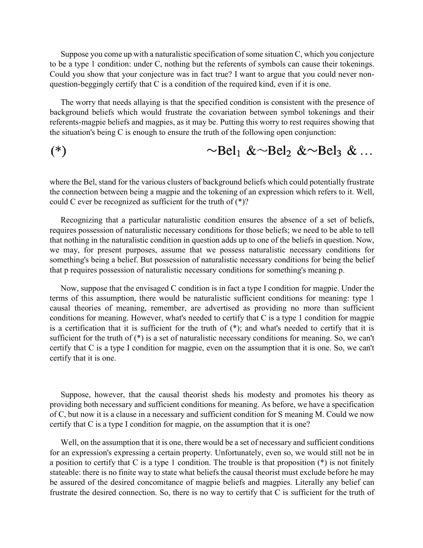Suppose you come up with a naturalistic specification of some situation  $C$ , which you conjecture to be a type 1 condition: under C, nothing but the referents of symbols can cause their tokenings. Could you show that your conjecture was in fact true? I want to argue that you could never nonquestion-beggingly certify that C is a condition of the required kind, even if it is one.

The worry that needs allaying is that the specified condition is consistent with the presence of background beliefs which would frustrate the covariation between symbol tokenings and their referents-magpie beliefs and magpies, as it may be. Putting this worry to rest requires showing that the situation's being C is enough to ensure the truth of the following open conjunction:

### $\sim$ Bel<sub>1</sub> &  $\sim$ Bel<sub>2</sub> &  $\sim$ Bel<sub>3</sub> & ...  $(*)$

where the Bel, stand for the various clusters of background beliefs which could potentially frustrate the connection between being a magpie and the tokening of an expression which refers to it. Well, could C ever be recognized as sufficient for the truth of  $(*)$ ?

Recognizing that a particular naturalistic condition ensures the absence of a set of beliefs, requires possession of naturalistic necessary conditions for those beliefs; we need to be able to tell that nothing in the naturalistic condition in question adds up to one of the beliefs in question. Now, we may, for present purposes, assume that we possess naturalistic necessary conditions for something's being a belief. But possession of naturalistic necessary conditions for being the belief that p requires possession of naturalistic necessary conditions for something's meaning p.

Now, suppose that the envisaged C condition is in fact a type I condition for magpie. Under the terms of this assumption, there would be naturalistic sufficient conditions for meaning: type 1 causal theories of meaning, remember, are advertised as providing no more than sufficient conditions for meaning. However, what's needed to certify that C is a type 1 condition for magpie is a certification that it is sufficient for the truth of  $(*)$ ; and what's needed to certify that it is sufficient for the truth of (\*) is a set of naturalistic necessary conditions for meaning. So, we can't certify that C is a type I condition for magpie, even on the assumption that it is one. So, we can't certify that it is one.

Suppose, however, that the causal theorist sheds his modesty and promotes his theory as providing both necessary and sufficient conditions for meaning. As before, we have a specification of C, but now it is a clause in a necessary and sufficient condition for S meaning M. Could we now certify that C is a type I condition for magpie, on the assumption that it is one?

Well, on the assumption that it is one, there would be a set of necessary and sufficient conditions for an expression's expressing a certain property. Unfortunately, even so, we would still not be in a position to certify that C is a type 1 condition. The trouble is that proposition (\*) is not finitely stateable: there is no finite way to state what beliefs the causal theorist must exclude before he may be assured of the desired concomitance of magpie beliefs and magpies. Literally any belief can frustrate the desired connection. So, there is no way to certify that C is sufficient for the truth of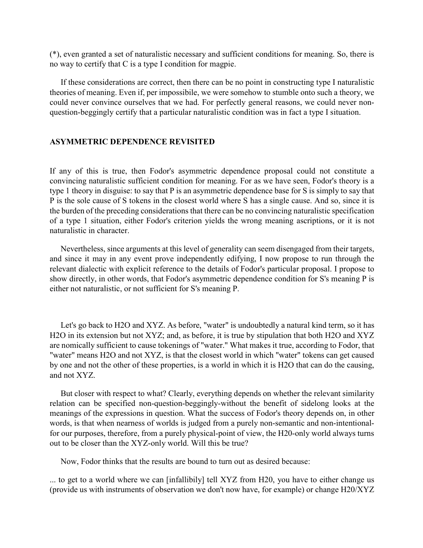(\*), even granted a set of naturalistic necessary and sufficient conditions for meaning. So, there is no way to certify that C is a type I condition for magpie.

If these considerations are correct, then there can be no point in constructing type I naturalistic theories of meaning. Even if, per impossibile, we were somehow to stumble onto such a theory, we could never convince ourselves that we had. For perfectly general reasons, we could never nonquestion-beggingly certify that a particular naturalistic condition was in fact a type I situation.

#### ASYMMETRIC DEPENDENCE REVISITED

If any of this is true, then Fodor's asymmetric dependence proposal could not constitute a convincing naturalistic sufficient condition for meaning. For as we have seen, Fodor's theory is a type 1 theory in disguise: to say that P is an asymmetric dependence base for S is simply to say that P is the sole cause of S tokens in the closest world where S has a single cause. And so, since it is the burden of the preceding considerations that there can be no convincing naturalistic specification of a type 1 situation, either Fodor's criterion yields the wrong meaning ascriptions, or it is not naturalistic in character.

Nevertheless, since arguments at this level of generality can seem disengaged from their targets, and since it may in any event prove independently edifying, I now propose to run through the relevant dialectic with explicit reference to the details of Fodor's particular proposal. I propose to show directly, in other words, that Fodor's asymmetric dependence condition for S's meaning P is either not naturalistic, or not sufficient for S's meaning P.

Let's go back to H2O and XYZ. As before, "water" is undoubtedly a natural kind term, so it has H2O in its extension but not XYZ; and, as before, it is true by stipulation that both H2O and XYZ are nomically sufficient to cause tokenings of "water." What makes it true, according to Fodor, that "water" means H2O and not XYZ, is that the closest world in which "water" tokens can get caused by one and not the other of these properties, is a world in which it is H2O that can do the causing, and not XYZ.

But closer with respect to what? Clearly, everything depends on whether the relevant similarity relation can be specified non-question-beggingly-without the benefit of sidelong looks at the meanings of the expressions in question. What the success of Fodor's theory depends on, in other words, is that when nearness of worlds is judged from a purely non-semantic and non-intentionalfor our purposes, therefore, from a purely physical-point of view, the H20-only world always turns out to be closer than the XYZ-only world. Will this be true?

Now, Fodor thinks that the results are bound to turn out as desired because:

... to get to a world where we can [infallibily] tell XYZ from H20, you have to either change us (provide us with instruments of observation we don't now have, for example) or change H20/XYZ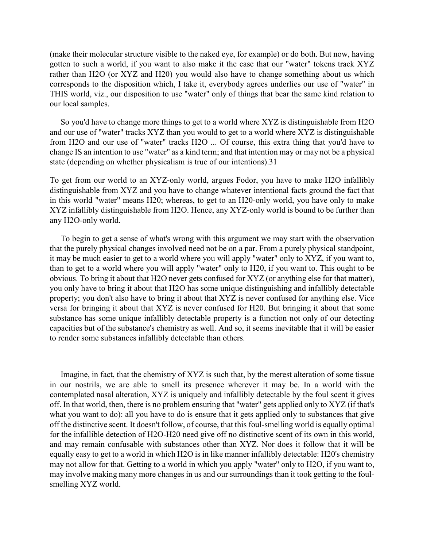(make their molecular structure visible to the naked eye, for example) or do both. But now, having gotten to such a world, if you want to also make it the case that our "water" tokens track XYZ rather than H2O (or XYZ and H20) you would also have to change something about us which corresponds to the disposition which, I take it, everybody agrees underlies our use of "water" in THIS world, viz., our disposition to use "water" only of things that bear the same kind relation to our local samples.

So you'd have to change more things to get to a world where XYZ is distinguishable from H2O and our use of "water" tracks XYZ than you would to get to a world where XYZ is distinguishable from H2O and our use of "water" tracks H2O ... Of course, this extra thing that you'd have to change IS an intention to use "water" as a kind term; and that intention may or may not be a physical state (depending on whether physicalism is true of our intentions).31

To get from our world to an XYZ-only world, argues Fodor, you have to make H2O infallibly distinguishable from XYZ and you have to change whatever intentional facts ground the fact that in this world "water" means H20; whereas, to get to an H20-only world, you have only to make XYZ infallibly distinguishable from H2O. Hence, any XYZ-only world is bound to be further than any H2O-only world.

To begin to get a sense of what's wrong with this argument we may start with the observation that the purely physical changes involved need not be on a par. From a purely physical standpoint, it may be much easier to get to a world where you will apply "water" only to XYZ, if you want to, than to get to a world where you will apply "water" only to H20, if you want to. This ought to be obvious. To bring it about that H2O never gets confused for XYZ (or anything else for that matter), you only have to bring it about that H2O has some unique distinguishing and infallibly detectable property; you don't also have to bring it about that XYZ is never confused for anything else. Vice versa for bringing it about that XYZ is never confused for H20. But bringing it about that some substance has some unique infallibly detectable property is a function not only of our detecting capacities but of the substance's chemistry as well. And so, it seems inevitable that it will be easier to render some substances infallibly detectable than others.

Imagine, in fact, that the chemistry of XYZ is such that, by the merest alteration of some tissue in our nostrils, we are able to smell its presence wherever it may be. In a world with the contemplated nasal alteration, XYZ is uniquely and infallibly detectable by the foul scent it gives off. In that world, then, there is no problem ensuring that "water" gets applied only to XYZ (if that's what you want to do): all you have to do is ensure that it gets applied only to substances that give off the distinctive scent. It doesn't follow, of course, that this foul-smelling world is equally optimal for the infallible detection of H2O-H20 need give off no distinctive scent of its own in this world, and may remain confusable with substances other than XYZ. Nor does it follow that it will be equally easy to get to a world in which H2O is in like manner infallibly detectable: H20's chemistry may not allow for that. Getting to a world in which you apply "water" only to H2O, if you want to, may involve making many more changes in us and our surroundings than it took getting to the foulsmelling XYZ world.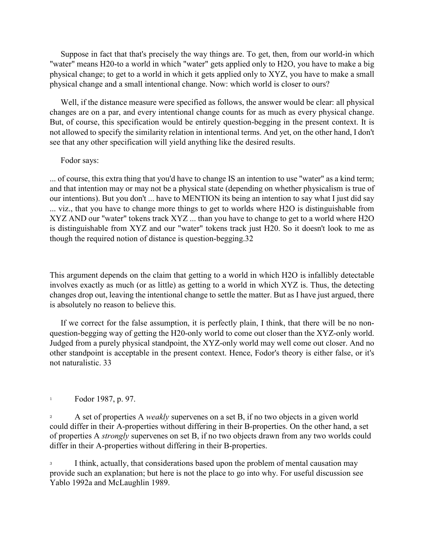Suppose in fact that that's precisely the way things are. To get, then, from our world-in which "water" means H20-to a world in which "water" gets applied only to H2O, you have to make a big physical change; to get to a world in which it gets applied only to XYZ, you have to make a small physical change and a small intentional change. Now: which world is closer to ours?

Well, if the distance measure were specified as follows, the answer would be clear: all physical changes are on a par, and every intentional change counts for as much as every physical change. But, of course, this specification would be entirely question-begging in the present context. It is not allowed to specify the similarity relation in intentional terms. And yet, on the other hand, I don't see that any other specification will yield anything like the desired results.

# Fodor says:

... of course, this extra thing that you'd have to change IS an intention to use "water" as a kind term; and that intention may or may not be a physical state (depending on whether physicalism is true of our intentions). But you don't ... have to MENTION its being an intention to say what I just did say ... viz., that you have to change more things to get to worlds where H2O is distinguishable from XYZ AND our "water" tokens track XYZ ... than you have to change to get to a world where H2O is distinguishable from XYZ and our "water" tokens track just H20. So it doesn't look to me as though the required notion of distance is question-begging.32

This argument depends on the claim that getting to a world in which H2O is infallibly detectable involves exactly as much (or as little) as getting to a world in which XYZ is. Thus, the detecting changes drop out, leaving the intentional change to settle the matter. But as I have just argued, there is absolutely no reason to believe this.

If we correct for the false assumption, it is perfectly plain, I think, that there will be no nonquestion-begging way of getting the H20-only world to come out closer than the XYZ-only world. Judged from a purely physical standpoint, the XYZ-only world may well come out closer. And no other standpoint is acceptable in the present context. Hence, Fodor's theory is either false, or it's not naturalistic. 33

<sup>1</sup> Fodor 1987, p. 97. 1 Fodor 1987, p. 97.

<sup>2</sup> A set of properties A *weakly* supervenes on a set B, if no two objects in a given world could differ in their A-properties without differing in their B-properties. On the other hand, a set of properties A *strongly* supervenes on set B, if no two objects drawn from any two worlds could differ in their A-properties without differing in their B-properties. of properties A *strongly* superven  $\frac{1}{2}$  strongly superventies  $\frac{1}{2}$ 

<sup>3</sup> I think, actually, that considerations based upon the problem of mental causation may provide such an explanation; but here is not the place to go into why. For useful discussion see Yablo 1992a and McLaughlin 1989.  $\frac{3}{1}$  l think, actually, that consider r abio 1992a and McLaughlin 198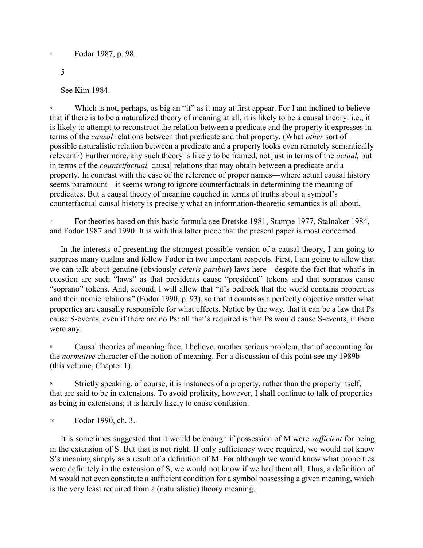5

See Kim 1984.

<sup>6</sup> Which is not, perhaps, as big an "if" as it may at first appear. For I am inclined to believe 6 Which is not, perhaps, as big an "if" that if there is to be a naturalized theory of meaning at all, it is likely to be a causal theory: i.e., it in the relation is to be a naturalized theory of meaning at an, it is invery to be a classified to y. i.e., it<br>is likely to attempt to reconstruct the relation between a predicate and the property it expresses in terms of the *causal* relations between that predicate and that property. (What *other* sort of possible naturalistic relation between a predicate and a property looks even remotely semantically relevant?) Furthermore, any such theory is likely to be framed, not just in terms of the *actual*, but in terms of the *counteifactual*, causal relations that may obtain between a predicate and a property. In contrast with the case of the reference of proper names—where actual causal history seems paramount—it seems wrong to ignore counterfactuals in determining the meaning of predicates. But a causal theory of meaning couched in terms of truths about a symbol's predictures. But a causal theory of meaning couched in terms of trains about a symbol s<br>counterfactual causal history is precisely what an information-theoretic semantics is all about. is likely to attempt to reconstruct to  $\frac{1}{2}$  possible hatulatistic relation be property. In contrast with the counterfactual causal history is pre

<sup>7</sup> For theories based on this basic formula see Dretske 1981, Stampe 1977, Stalnaker 1984, relation 1987 and 1990. It is with this latter piece that the present paper is most concerned. and Fodor 1987 and 1990. It is with the  $\frac{1}{2}$  and  $\frac{1}{2}$   $\frac{1}{2}$   $\frac{1}{2}$  and  $\frac{1}{2}$   $\frac{1}{2}$  and  $\frac{1}{2}$   $\frac{1}{2}$  and  $\frac{1}{2}$  and  $\frac{1}{2}$ 

In the interests of presenting the strongest possible version of a causal theory, I am going to suppress many qualms and follow Fodor in two important respects. First, I am going to allow that we can talk about genuine (obviously *ceteris paribus*) laws here—despite the fact that what's in question are such "laws" as that presidents cause "president" tokens and that sopranos cause "soprano" tokens. And, second, I will allow that "it's bedrock that the world contains properties and their nomic relations" (Fodor 1990, p. 93), so that it counts as a perfectly objective matter what properties are causally responsible for what effects. Notice by the way, that it can be a law that Ps cause S-events, even if there are no Ps: all that's required is that Ps would cause S-events, if there were any. suppress many qualms and foll question are such laws as that and the In the interests of presentin

<sup>8</sup> Causal theories of meaning face, I believe, another serious problem, that of accounting for the normative character of the notion of meaning. For a discussion of this point see my 1989b the *normative* enaracter of the normative character of the  $(mis volume, Chapter 1).$ 

<sup>9</sup> Strictly speaking, of course, it is instances of a property, rather than the property itself, that are said to be in extensions. To avoid prolixity, however, I shall continue to talk of properties as being in extensions; it is hardly likely to cause confusion. as being in extensions; it is nardly if

 $10$  Fodor 1990, ch. 3.  $\frac{1}{2}$ <sup>10</sup> Fodor 1990,

It is sometimes suggested that it would be enough if possession of M were *sufficient* for being in the extension of S. But that is not right. If only sufficiency were required, we would not know S's meaning simply as a result of a definition of M. For although we would know what properties were definitely in the extension of S, we would not know if we had them all. Thus, a definition of M would not even constitute a sufficient condition for a symbol possessing a given meaning, which M would not even constitute a sufficient condition for a symbol possessing a given meaning, which is the very least required from a (naturalistic) theory meaning.  $\frac{1}{2}$  in the extension of 5. But that is not M would not even constitute a suffi $t_{\text{max}}$  and  $t_{\text{max}}$  of  $t_{\text{max}}$  if  $t_{\text{max}}$  is the set known if  $t_{\text{max}}$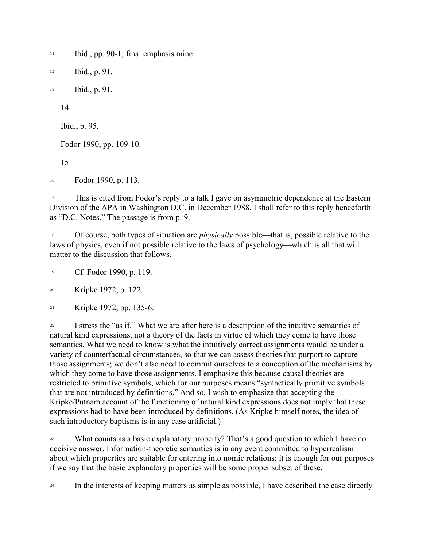<sup>11</sup> Ibid., pp. 90-1; final emphasis mine. 11 Ibid., pp. 90-1; final emphasis mine.

<sup>12</sup> Ibid., p. 91. 12 Ibid., p. 91.

<sup>13</sup> Ibid., p. 91. 13 Ibid., p. 91.

14

Ibid., p. 95.

Fodor 1990, pp. 109-10. 15 Fodor 1990, pp. 109-10.

15

<sup>16</sup> Fodor 1990, p. 113. 16 Fodor 1990, p. 113.

<sup>17</sup> This is cited from Fodor's reply to a talk I gave on asymmetric dependence at the Eastern Division of the APA in Washington D.C. in December 1988. I shall refer to this reply henceforth as "D.C. Notes." The passage is from p. 9. Division of the  $APA$  in Washi  $\frac{1}{1}$  refer to the total replacement as  $\frac{1}{2}$ 

 $18$  Of course, both types of situation are *physically* possible—that is, possible relative to the laws of physics, even if not possible relative to the laws of psychology—which is all that will matter to the discussion that follows. laws of physics, even if not

 $19$  Cf. Fodor 1990, p. 119.

<sup>20</sup> Kripke 1972, p. 122. 20 Kripke 1972, p. 122.

<sup>21</sup> Kripke 1972, pp. 135-6. 21 Kripke 1972, pp. 135-6.

<sup>22</sup> I stress the "as if." What we are after here is a description of the intuitive semantics of natural kind expressions, not a theory of the facts in virtue of which they come to have those semantics. What we need to know is what the intuitively correct assignments would be under a variety of counterfactual circumstances, so that we can assess theories that purport to capture those assignments; we don't also need to commit ourselves to a conception of the mechanisms by which they come to have those assignments. I emphasize this because causal theories are restricted to primitive symbols, which for our purposes means "syntactically primitive symbols that are not introduced by definitions." And so, I wish to emphasize that accepting the Kripke/Putnam account of the functioning of natural kind expressions does not imply that these expressions had to have been introduced by definitions. (As Kripke himself notes, the idea of such introductory baptisms is in any case artificial.) natural kind expressions, not a valicty of counterfactual circumstance restricted to primitive symbols, expressions had to have been introduc to primitive symbols, which for our

<sup>23</sup> What counts as a basic explanatory property? That's a good question to which I have no what counts as a caste explanatory property? That's a good question to which I have decisive answer. Information-theoretic semantics is in any event committed to hyperrealism about which properties are suitable for entering into nomic relations; it is enough for our purposes if we say that the basic explanatory properties will be some proper subset of these. <sup>23</sup> What counts as a basic expl about which properties are suitable for the function decisive answer. Information- $\mu$  we say that the basic explanator.

<sup>24</sup> In the interests of keeping matters as simple as possible, I have described the case directly  $24$  In the interests of keeping matters  $\frac{1}{1}$  be  $\frac{1}{1}$  have described as  $\frac{1}{2}$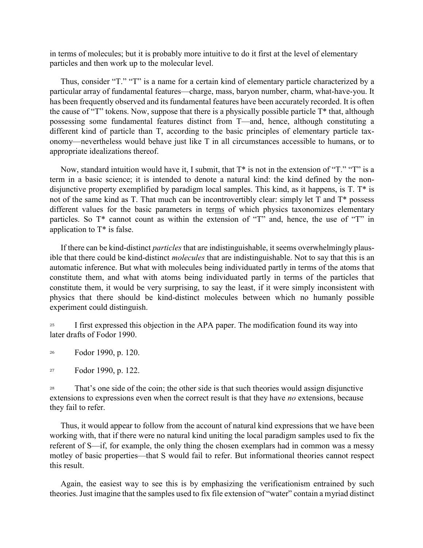in terms of molecules; but it is probably more intuitive to do it first at the level of elementary particles and then work up to the molecular level.

Thus, consider "T." "T" is a name for a certain kind of elementary particle characterized by a particular array of fundamental features—charge, mass, baryon number, charm, what-have-you. It has been frequently observed and its fundamental features have been accurately recorded. It is often the cause of "T" tokens. Now, suppose that there is a physically possible particle T\* that, although possessing some fundamental features distinct from T—and, hence, although constituting a different kind of particle than T, according to the basic principles of elementary particle taxonomy—nevertheless would behave just like T in all circumstances accessible to humans, or to appropriate idealizations thereof.

Now, standard intuition would have it, I submit, that T\* is not in the extension of "T." "T" is a term in a basic science; it is intended to denote a natural kind: the kind defined by the nondisjunctive property exemplified by paradigm local samples. This kind, as it happens, is T. T\* is not of the same kind as T. That much can be incontrovertibly clear: simply let T and T\* possess different values for the basic parameters in terms of which physics taxonomizes elementary particles. So T\* cannot count as within the extension of "T" and, hence, the use of "T" in application to T\* is false.

If there can be kind-distinct *particles* that are indistinguishable, it seems overwhelmingly plausible that there could be kind-distinct molecules that are indistinguishable. Not to say that this is an automatic inference. But what with molecules being individuated partly in terms of the atoms that constitute them, and what with atoms being individuated partly in terms of the particles that constitute them, it would be very surprising, to say the least, if it were simply inconsistent with physics that there should be kind-distinct molecules between which no humanly possible experiment could distinguish.

<sup>25</sup> I first expressed this objection in the APA paper. The modification found its way into later drafts of Fodor 1990.  $\frac{1}{2}$ 

<sup>26</sup> Fodor 1990, p. 120. 26 Fodor 1990, p. 120.

<sup>27</sup> Fodor 1990, p. 122. 27 Fodor 1990, p. 122.

<sup>28</sup> That's one side of the coin; the other side is that such theories would assign disjunctive extensions to expressions even when the correct result is that they have no extensions, because they fail to refer.  $\alpha$  considers to expressions  $\alpha$ 

Thus, it would appear to follow from the account of natural kind expressions that we have been working with, that if there were no natural kind uniting the local paradigm samples used to fix the referent of S—if, for example, the only thing the chosen exemplars had in common was a messy motley of basic properties—that S would fail to refer. But informational theories cannot respect this result.

Again, the easiest way to see this is by emphasizing the verificationism entrained by such theories.Just imagine that the samples used to fix file extension of "water" contain a myriad distinct